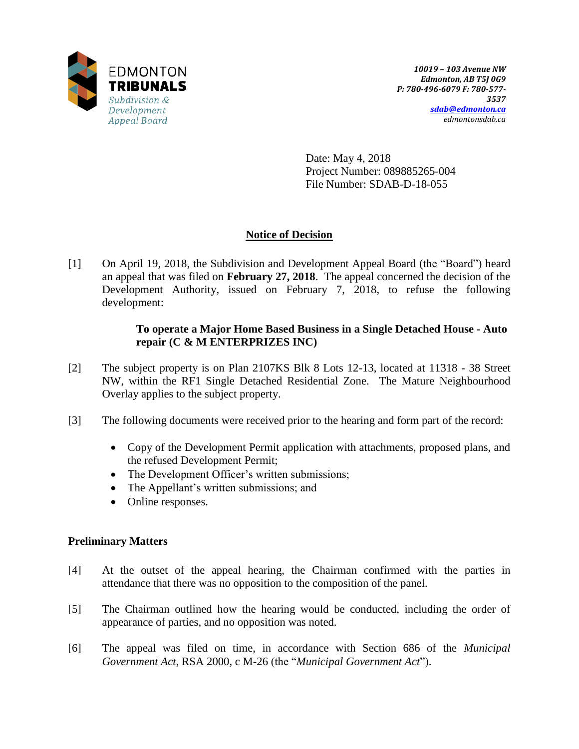

Date: May 4, 2018 Project Number: 089885265-004 File Number: SDAB-D-18-055

# **Notice of Decision**

[1] On April 19, 2018, the Subdivision and Development Appeal Board (the "Board") heard an appeal that was filed on **February 27, 2018**. The appeal concerned the decision of the Development Authority, issued on February 7, 2018, to refuse the following development:

# **To operate a Major Home Based Business in a Single Detached House - Auto repair (C & M ENTERPRIZES INC)**

- [2] The subject property is on Plan 2107KS Blk 8 Lots 12-13, located at 11318 38 Street NW, within the RF1 Single Detached Residential Zone. The Mature Neighbourhood Overlay applies to the subject property.
- [3] The following documents were received prior to the hearing and form part of the record:
	- Copy of the Development Permit application with attachments, proposed plans, and the refused Development Permit;
	- The Development Officer's written submissions;
	- The Appellant's written submissions; and
	- Online responses.

# **Preliminary Matters**

- [4] At the outset of the appeal hearing, the Chairman confirmed with the parties in attendance that there was no opposition to the composition of the panel.
- [5] The Chairman outlined how the hearing would be conducted, including the order of appearance of parties, and no opposition was noted.
- [6] The appeal was filed on time, in accordance with Section 686 of the *Municipal Government Act*, RSA 2000, c M-26 (the "*Municipal Government Act*").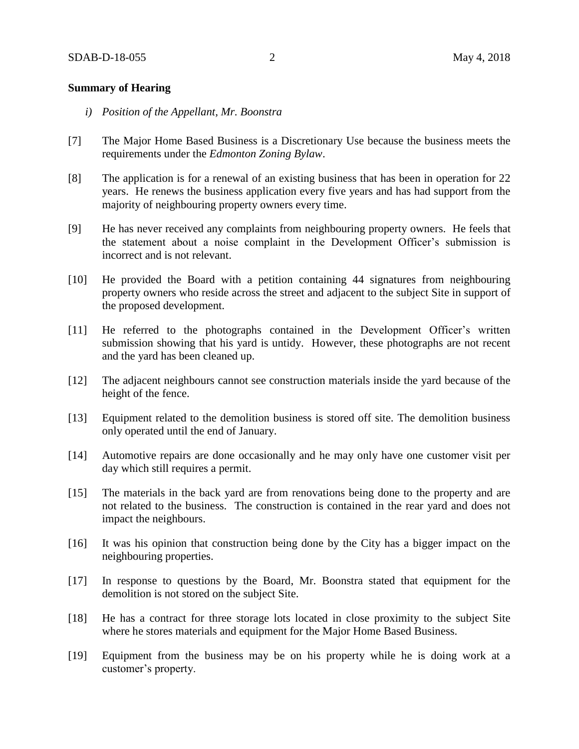### **Summary of Hearing**

- *i) Position of the Appellant, Mr. Boonstra*
- [7] The Major Home Based Business is a Discretionary Use because the business meets the requirements under the *Edmonton Zoning Bylaw*.
- [8] The application is for a renewal of an existing business that has been in operation for 22 years. He renews the business application every five years and has had support from the majority of neighbouring property owners every time.
- [9] He has never received any complaints from neighbouring property owners. He feels that the statement about a noise complaint in the Development Officer's submission is incorrect and is not relevant.
- [10] He provided the Board with a petition containing 44 signatures from neighbouring property owners who reside across the street and adjacent to the subject Site in support of the proposed development.
- [11] He referred to the photographs contained in the Development Officer's written submission showing that his yard is untidy. However, these photographs are not recent and the yard has been cleaned up.
- [12] The adjacent neighbours cannot see construction materials inside the yard because of the height of the fence.
- [13] Equipment related to the demolition business is stored off site. The demolition business only operated until the end of January.
- [14] Automotive repairs are done occasionally and he may only have one customer visit per day which still requires a permit.
- [15] The materials in the back yard are from renovations being done to the property and are not related to the business. The construction is contained in the rear yard and does not impact the neighbours.
- [16] It was his opinion that construction being done by the City has a bigger impact on the neighbouring properties.
- [17] In response to questions by the Board, Mr. Boonstra stated that equipment for the demolition is not stored on the subject Site.
- [18] He has a contract for three storage lots located in close proximity to the subject Site where he stores materials and equipment for the Major Home Based Business.
- [19] Equipment from the business may be on his property while he is doing work at a customer's property.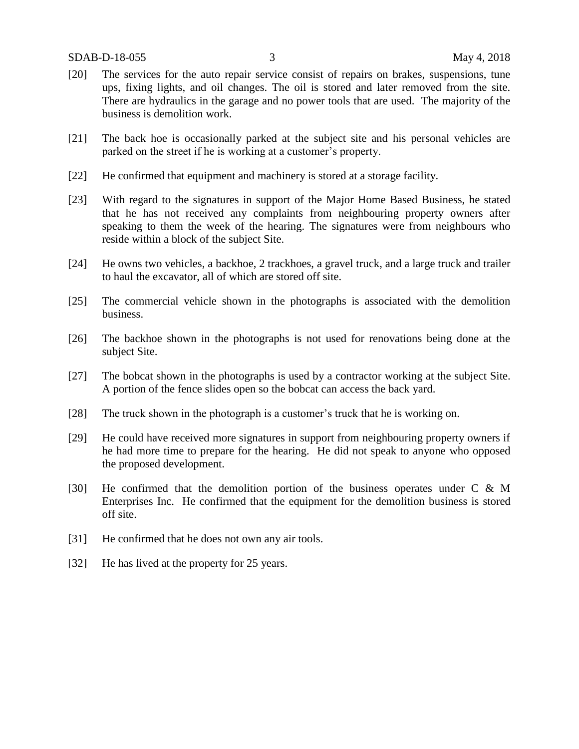- [20] The services for the auto repair service consist of repairs on brakes, suspensions, tune ups, fixing lights, and oil changes. The oil is stored and later removed from the site. There are hydraulics in the garage and no power tools that are used. The majority of the business is demolition work.
- [21] The back hoe is occasionally parked at the subject site and his personal vehicles are parked on the street if he is working at a customer's property.
- [22] He confirmed that equipment and machinery is stored at a storage facility.
- [23] With regard to the signatures in support of the Major Home Based Business, he stated that he has not received any complaints from neighbouring property owners after speaking to them the week of the hearing. The signatures were from neighbours who reside within a block of the subject Site.
- [24] He owns two vehicles, a backhoe, 2 trackhoes, a gravel truck, and a large truck and trailer to haul the excavator, all of which are stored off site.
- [25] The commercial vehicle shown in the photographs is associated with the demolition business.
- [26] The backhoe shown in the photographs is not used for renovations being done at the subject Site.
- [27] The bobcat shown in the photographs is used by a contractor working at the subject Site. A portion of the fence slides open so the bobcat can access the back yard.
- [28] The truck shown in the photograph is a customer's truck that he is working on.
- [29] He could have received more signatures in support from neighbouring property owners if he had more time to prepare for the hearing. He did not speak to anyone who opposed the proposed development.
- [30] He confirmed that the demolition portion of the business operates under C & M Enterprises Inc. He confirmed that the equipment for the demolition business is stored off site.
- [31] He confirmed that he does not own any air tools.
- [32] He has lived at the property for 25 years.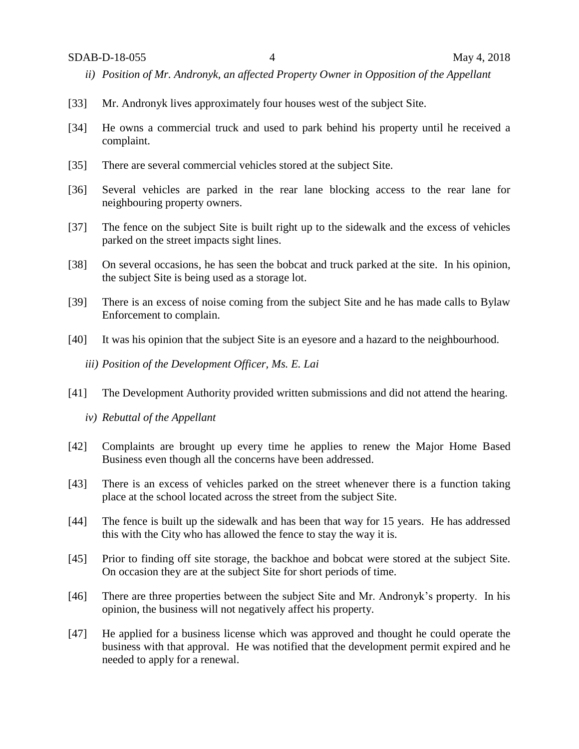- *ii) Position of Mr. Andronyk, an affected Property Owner in Opposition of the Appellant*
- [33] Mr. Andronyk lives approximately four houses west of the subject Site.
- [34] He owns a commercial truck and used to park behind his property until he received a complaint.
- [35] There are several commercial vehicles stored at the subject Site.
- [36] Several vehicles are parked in the rear lane blocking access to the rear lane for neighbouring property owners.
- [37] The fence on the subject Site is built right up to the sidewalk and the excess of vehicles parked on the street impacts sight lines.
- [38] On several occasions, he has seen the bobcat and truck parked at the site. In his opinion, the subject Site is being used as a storage lot.
- [39] There is an excess of noise coming from the subject Site and he has made calls to Bylaw Enforcement to complain.
- [40] It was his opinion that the subject Site is an eyesore and a hazard to the neighbourhood.

*iii) Position of the Development Officer, Ms. E. Lai* 

- [41] The Development Authority provided written submissions and did not attend the hearing.
	- *iv) Rebuttal of the Appellant*
- [42] Complaints are brought up every time he applies to renew the Major Home Based Business even though all the concerns have been addressed.
- [43] There is an excess of vehicles parked on the street whenever there is a function taking place at the school located across the street from the subject Site.
- [44] The fence is built up the sidewalk and has been that way for 15 years. He has addressed this with the City who has allowed the fence to stay the way it is.
- [45] Prior to finding off site storage, the backhoe and bobcat were stored at the subject Site. On occasion they are at the subject Site for short periods of time.
- [46] There are three properties between the subject Site and Mr. Andronyk's property. In his opinion, the business will not negatively affect his property.
- [47] He applied for a business license which was approved and thought he could operate the business with that approval. He was notified that the development permit expired and he needed to apply for a renewal.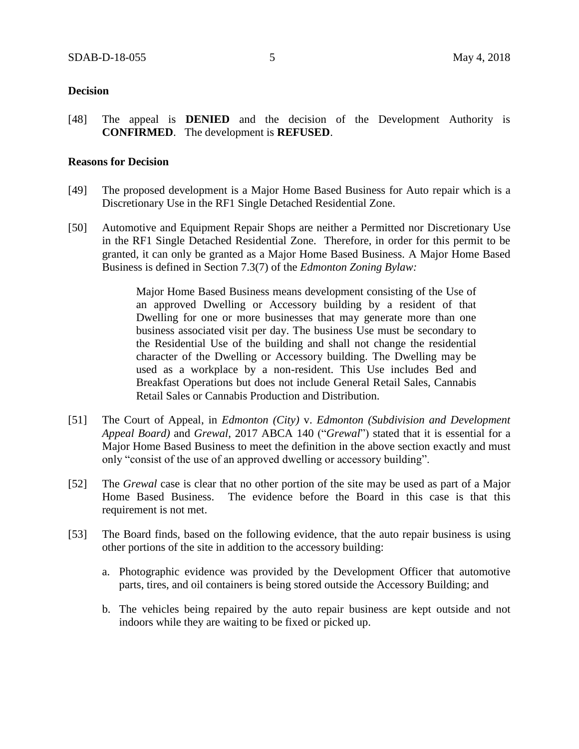### **Decision**

[48] The appeal is **DENIED** and the decision of the Development Authority is **CONFIRMED**. The development is **REFUSED**.

## **Reasons for Decision**

- [49] The proposed development is a Major Home Based Business for Auto repair which is a Discretionary Use in the RF1 Single Detached Residential Zone.
- [50] Automotive and Equipment Repair Shops are neither a Permitted nor Discretionary Use in the RF1 Single Detached Residential Zone. Therefore, in order for this permit to be granted, it can only be granted as a Major Home Based Business. A Major Home Based Business is defined in Section 7.3(7) of the *Edmonton Zoning Bylaw:*

Major Home Based Business means development consisting of the Use of an approved Dwelling or Accessory building by a resident of that Dwelling for one or more businesses that may generate more than one business associated visit per day. The business Use must be secondary to the Residential Use of the building and shall not change the residential character of the Dwelling or Accessory building. The Dwelling may be used as a workplace by a non-resident. This Use includes Bed and Breakfast Operations but does not include General Retail Sales, Cannabis Retail Sales or Cannabis Production and Distribution.

- [51] The Court of Appeal, in *Edmonton (City)* v. *Edmonton (Subdivision and Development Appeal Board)* and *Grewal*, 2017 ABCA 140 ("*Grewal*") stated that it is essential for a Major Home Based Business to meet the definition in the above section exactly and must only "consist of the use of an approved dwelling or accessory building".
- [52] The *Grewal* case is clear that no other portion of the site may be used as part of a Major Home Based Business. The evidence before the Board in this case is that this requirement is not met.
- [53] The Board finds, based on the following evidence, that the auto repair business is using other portions of the site in addition to the accessory building:
	- a. Photographic evidence was provided by the Development Officer that automotive parts, tires, and oil containers is being stored outside the Accessory Building; and
	- b. The vehicles being repaired by the auto repair business are kept outside and not indoors while they are waiting to be fixed or picked up.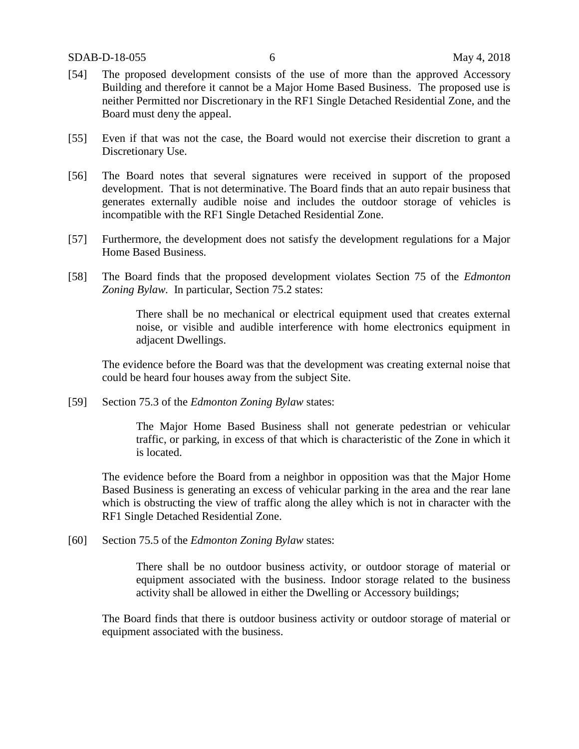- [54] The proposed development consists of the use of more than the approved Accessory Building and therefore it cannot be a Major Home Based Business. The proposed use is neither Permitted nor Discretionary in the RF1 Single Detached Residential Zone, and the Board must deny the appeal.
- [55] Even if that was not the case, the Board would not exercise their discretion to grant a Discretionary Use.
- [56] The Board notes that several signatures were received in support of the proposed development. That is not determinative. The Board finds that an auto repair business that generates externally audible noise and includes the outdoor storage of vehicles is incompatible with the RF1 Single Detached Residential Zone.
- [57] Furthermore, the development does not satisfy the development regulations for a Major Home Based Business.
- [58] The Board finds that the proposed development violates Section 75 of the *Edmonton Zoning Bylaw.* In particular, Section 75.2 states:

There shall be no mechanical or electrical equipment used that creates external noise, or visible and audible interference with home electronics equipment in adjacent Dwellings.

The evidence before the Board was that the development was creating external noise that could be heard four houses away from the subject Site.

[59] Section 75.3 of the *Edmonton Zoning Bylaw* states:

The Major Home Based Business shall not generate pedestrian or vehicular traffic, or parking, in excess of that which is characteristic of the Zone in which it is located.

The evidence before the Board from a neighbor in opposition was that the Major Home Based Business is generating an excess of vehicular parking in the area and the rear lane which is obstructing the view of traffic along the alley which is not in character with the RF1 Single Detached Residential Zone.

[60] Section 75.5 of the *Edmonton Zoning Bylaw* states:

There shall be no outdoor business activity, or outdoor storage of material or equipment associated with the business. Indoor storage related to the business activity shall be allowed in either the Dwelling or Accessory buildings;

The Board finds that there is outdoor business activity or outdoor storage of material or equipment associated with the business.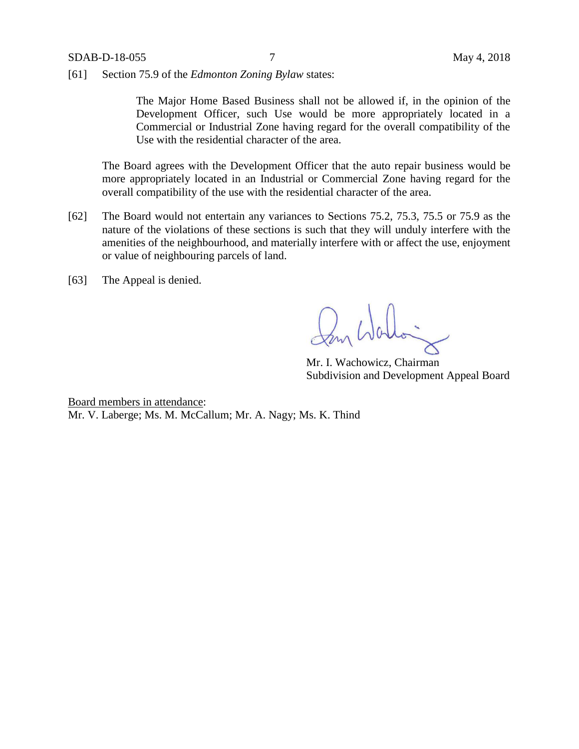[61] Section 75.9 of the *Edmonton Zoning Bylaw* states:

The Major Home Based Business shall not be allowed if, in the opinion of the Development Officer, such Use would be more appropriately located in a Commercial or Industrial Zone having regard for the overall compatibility of the Use with the residential character of the area.

The Board agrees with the Development Officer that the auto repair business would be more appropriately located in an Industrial or Commercial Zone having regard for the overall compatibility of the use with the residential character of the area.

- [62] The Board would not entertain any variances to Sections 75.2, 75.3, 75.5 or 75.9 as the nature of the violations of these sections is such that they will unduly interfere with the amenities of the neighbourhood, and materially interfere with or affect the use, enjoyment or value of neighbouring parcels of land.
- [63] The Appeal is denied.

Im Wallai

Mr. I. Wachowicz, Chairman Subdivision and Development Appeal Board

Board members in attendance: Mr. V. Laberge; Ms. M. McCallum; Mr. A. Nagy; Ms. K. Thind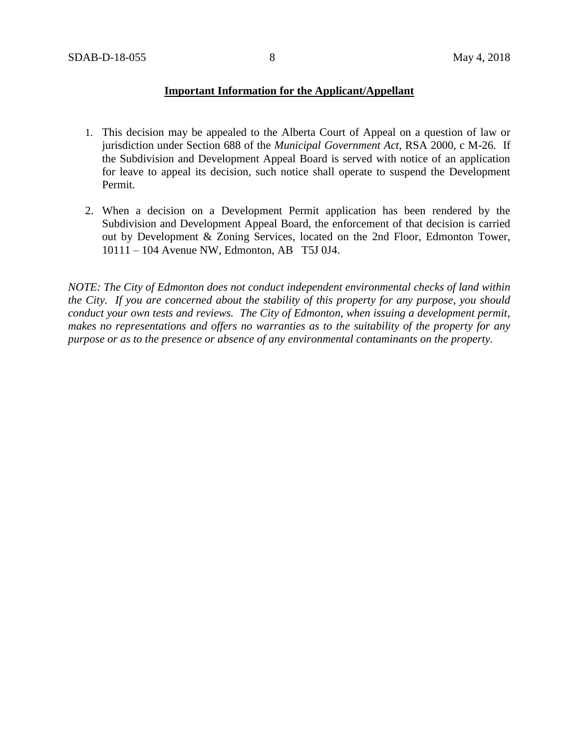## **Important Information for the Applicant/Appellant**

- 1. This decision may be appealed to the Alberta Court of Appeal on a question of law or jurisdiction under Section 688 of the *Municipal Government Act*, RSA 2000, c M-26. If the Subdivision and Development Appeal Board is served with notice of an application for leave to appeal its decision, such notice shall operate to suspend the Development Permit.
- 2. When a decision on a Development Permit application has been rendered by the Subdivision and Development Appeal Board, the enforcement of that decision is carried out by Development & Zoning Services, located on the 2nd Floor, Edmonton Tower, 10111 – 104 Avenue NW, Edmonton, AB T5J 0J4.

*NOTE: The City of Edmonton does not conduct independent environmental checks of land within the City. If you are concerned about the stability of this property for any purpose, you should conduct your own tests and reviews. The City of Edmonton, when issuing a development permit, makes no representations and offers no warranties as to the suitability of the property for any purpose or as to the presence or absence of any environmental contaminants on the property.*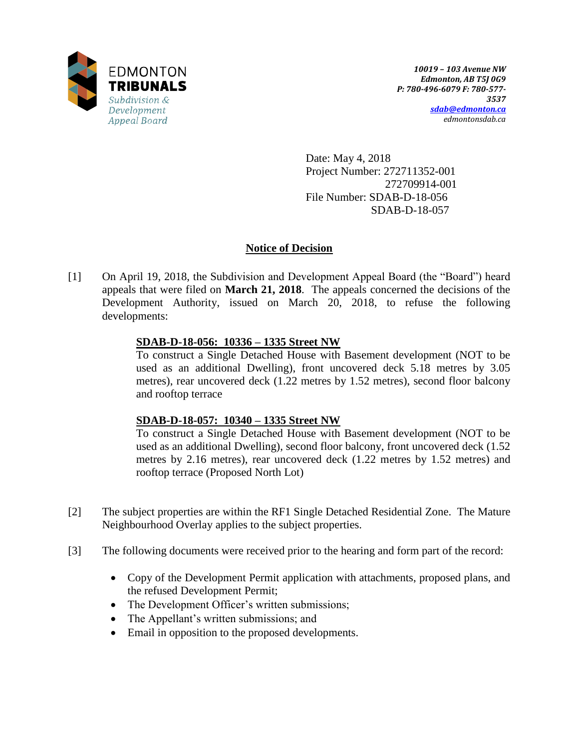

Date: May 4, 2018 Project Number: 272711352-001 272709914-001 File Number: SDAB-D-18-056 SDAB-D-18-057

# **Notice of Decision**

[1] On April 19, 2018, the Subdivision and Development Appeal Board (the "Board") heard appeals that were filed on **March 21, 2018**. The appeals concerned the decisions of the Development Authority, issued on March 20, 2018, to refuse the following developments:

# **SDAB-D-18-056: 10336 – 1335 Street NW**

To construct a Single Detached House with Basement development (NOT to be used as an additional Dwelling), front uncovered deck 5.18 metres by 3.05 metres), rear uncovered deck (1.22 metres by 1.52 metres), second floor balcony and rooftop terrace

# **SDAB-D-18-057: 10340 – 1335 Street NW**

To construct a Single Detached House with Basement development (NOT to be used as an additional Dwelling), second floor balcony, front uncovered deck (1.52 metres by 2.16 metres), rear uncovered deck (1.22 metres by 1.52 metres) and rooftop terrace (Proposed North Lot)

- [2] The subject properties are within the RF1 Single Detached Residential Zone. The Mature Neighbourhood Overlay applies to the subject properties.
- [3] The following documents were received prior to the hearing and form part of the record:
	- Copy of the Development Permit application with attachments, proposed plans, and the refused Development Permit;
	- The Development Officer's written submissions;
	- The Appellant's written submissions; and
	- Email in opposition to the proposed developments.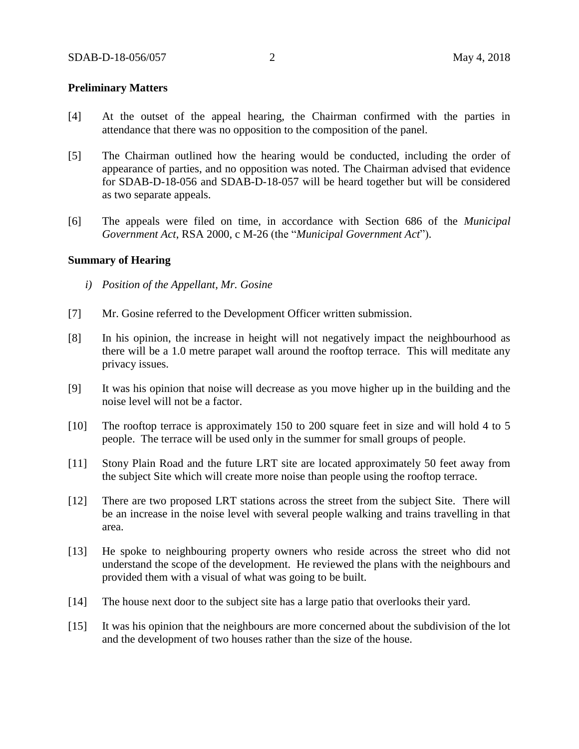### **Preliminary Matters**

- [4] At the outset of the appeal hearing, the Chairman confirmed with the parties in attendance that there was no opposition to the composition of the panel.
- [5] The Chairman outlined how the hearing would be conducted, including the order of appearance of parties, and no opposition was noted. The Chairman advised that evidence for SDAB-D-18-056 and SDAB-D-18-057 will be heard together but will be considered as two separate appeals.
- [6] The appeals were filed on time, in accordance with Section 686 of the *Municipal Government Act*, RSA 2000, c M-26 (the "*Municipal Government Act*").

#### **Summary of Hearing**

- *i) Position of the Appellant, Mr. Gosine*
- [7] Mr. Gosine referred to the Development Officer written submission.
- [8] In his opinion, the increase in height will not negatively impact the neighbourhood as there will be a 1.0 metre parapet wall around the rooftop terrace. This will meditate any privacy issues.
- [9] It was his opinion that noise will decrease as you move higher up in the building and the noise level will not be a factor.
- [10] The rooftop terrace is approximately 150 to 200 square feet in size and will hold 4 to 5 people. The terrace will be used only in the summer for small groups of people.
- [11] Stony Plain Road and the future LRT site are located approximately 50 feet away from the subject Site which will create more noise than people using the rooftop terrace.
- [12] There are two proposed LRT stations across the street from the subject Site. There will be an increase in the noise level with several people walking and trains travelling in that area.
- [13] He spoke to neighbouring property owners who reside across the street who did not understand the scope of the development. He reviewed the plans with the neighbours and provided them with a visual of what was going to be built.
- [14] The house next door to the subject site has a large patio that overlooks their yard.
- [15] It was his opinion that the neighbours are more concerned about the subdivision of the lot and the development of two houses rather than the size of the house.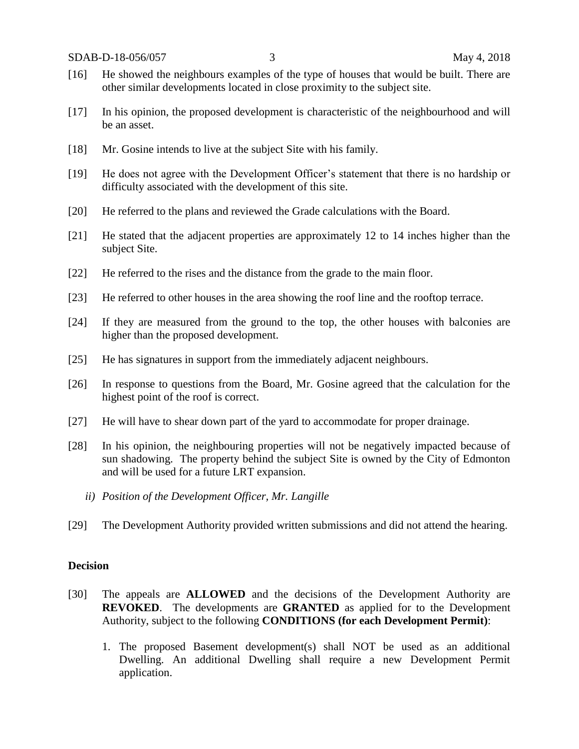- [16] He showed the neighbours examples of the type of houses that would be built. There are other similar developments located in close proximity to the subject site.
- [17] In his opinion, the proposed development is characteristic of the neighbourhood and will be an asset.
- [18] Mr. Gosine intends to live at the subject Site with his family.
- [19] He does not agree with the Development Officer's statement that there is no hardship or difficulty associated with the development of this site.
- [20] He referred to the plans and reviewed the Grade calculations with the Board.
- [21] He stated that the adjacent properties are approximately 12 to 14 inches higher than the subject Site.
- [22] He referred to the rises and the distance from the grade to the main floor.
- [23] He referred to other houses in the area showing the roof line and the rooftop terrace.
- [24] If they are measured from the ground to the top, the other houses with balconies are higher than the proposed development.
- [25] He has signatures in support from the immediately adjacent neighbours.
- [26] In response to questions from the Board, Mr. Gosine agreed that the calculation for the highest point of the roof is correct.
- [27] He will have to shear down part of the yard to accommodate for proper drainage.
- [28] In his opinion, the neighbouring properties will not be negatively impacted because of sun shadowing. The property behind the subject Site is owned by the City of Edmonton and will be used for a future LRT expansion.
	- *ii) Position of the Development Officer, Mr. Langille*
- [29] The Development Authority provided written submissions and did not attend the hearing.

### **Decision**

- [30] The appeals are **ALLOWED** and the decisions of the Development Authority are **REVOKED**. The developments are **GRANTED** as applied for to the Development Authority, subject to the following **CONDITIONS (for each Development Permit)**:
	- 1. The proposed Basement development(s) shall NOT be used as an additional Dwelling. An additional Dwelling shall require a new Development Permit application.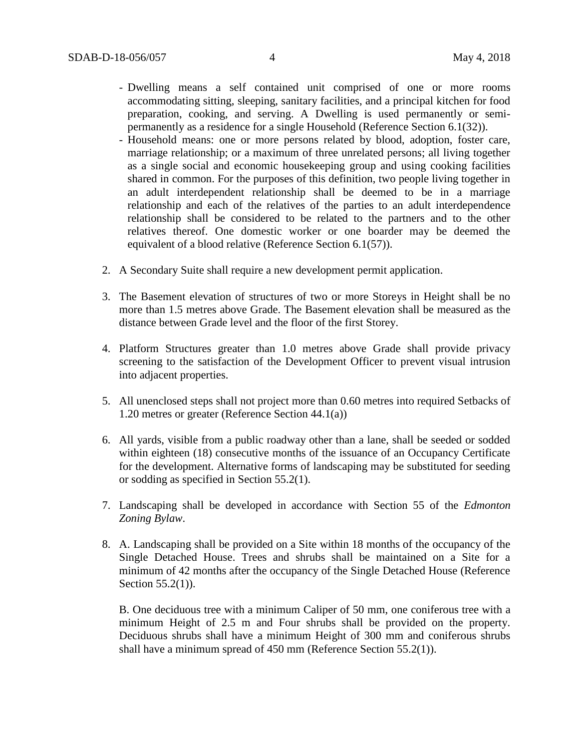- Dwelling means a self contained unit comprised of one or more rooms accommodating sitting, sleeping, sanitary facilities, and a principal kitchen for food preparation, cooking, and serving. A Dwelling is used permanently or semipermanently as a residence for a single Household (Reference Section 6.1(32)).
- Household means: one or more persons related by blood, adoption, foster care, marriage relationship; or a maximum of three unrelated persons; all living together as a single social and economic housekeeping group and using cooking facilities shared in common. For the purposes of this definition, two people living together in an adult interdependent relationship shall be deemed to be in a marriage relationship and each of the relatives of the parties to an adult interdependence relationship shall be considered to be related to the partners and to the other relatives thereof. One domestic worker or one boarder may be deemed the equivalent of a blood relative (Reference Section 6.1(57)).
- 2. A Secondary Suite shall require a new development permit application.
- 3. The Basement elevation of structures of two or more Storeys in Height shall be no more than 1.5 metres above Grade. The Basement elevation shall be measured as the distance between Grade level and the floor of the first Storey.
- 4. Platform Structures greater than 1.0 metres above Grade shall provide privacy screening to the satisfaction of the Development Officer to prevent visual intrusion into adjacent properties.
- 5. All unenclosed steps shall not project more than 0.60 metres into required Setbacks of 1.20 metres or greater (Reference Section 44.1(a))
- 6. All yards, visible from a public roadway other than a lane, shall be seeded or sodded within eighteen (18) consecutive months of the issuance of an Occupancy Certificate for the development. Alternative forms of landscaping may be substituted for seeding or sodding as specified in Section 55.2(1).
- 7. Landscaping shall be developed in accordance with Section 55 of the *Edmonton Zoning Bylaw*.
- 8. A. Landscaping shall be provided on a Site within 18 months of the occupancy of the Single Detached House. Trees and shrubs shall be maintained on a Site for a minimum of 42 months after the occupancy of the Single Detached House (Reference Section 55.2(1)).

B. One deciduous tree with a minimum Caliper of 50 mm, one coniferous tree with a minimum Height of 2.5 m and Four shrubs shall be provided on the property. Deciduous shrubs shall have a minimum Height of 300 mm and coniferous shrubs shall have a minimum spread of 450 mm (Reference Section 55.2(1)).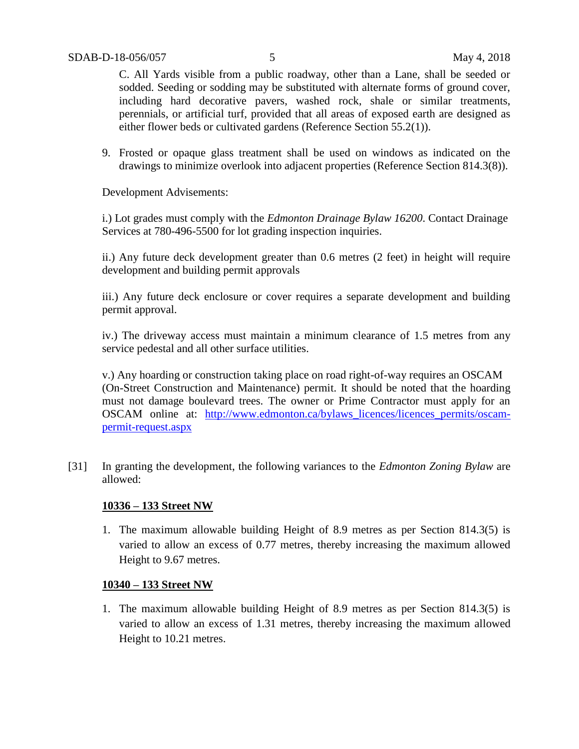C. All Yards visible from a public roadway, other than a Lane, shall be seeded or sodded. Seeding or sodding may be substituted with alternate forms of ground cover, including hard decorative pavers, washed rock, shale or similar treatments, perennials, or artificial turf, provided that all areas of exposed earth are designed as either flower beds or cultivated gardens (Reference Section 55.2(1)).

9. Frosted or opaque glass treatment shall be used on windows as indicated on the drawings to minimize overlook into adjacent properties (Reference Section 814.3(8)).

Development Advisements:

i.) Lot grades must comply with the *Edmonton Drainage Bylaw 16200*. Contact Drainage Services at 780-496-5500 for lot grading inspection inquiries.

ii.) Any future deck development greater than 0.6 metres (2 feet) in height will require development and building permit approvals

iii.) Any future deck enclosure or cover requires a separate development and building permit approval.

iv.) The driveway access must maintain a minimum clearance of 1.5 metres from any service pedestal and all other surface utilities.

v.) Any hoarding or construction taking place on road right-of-way requires an OSCAM (On-Street Construction and Maintenance) permit. It should be noted that the hoarding must not damage boulevard trees. The owner or Prime Contractor must apply for an OSCAM online at: http://www.edmonton.ca/bylaws licences/licences permits/oscam[permit-request.aspx](http://www.edmonton.ca/bylaws_licences/licences_permits/oscam-permit-request.aspx)

[31] In granting the development, the following variances to the *Edmonton Zoning Bylaw* are allowed:

## **10336 – 133 Street NW**

1. The maximum allowable building Height of 8.9 metres as per Section 814.3(5) is varied to allow an excess of 0.77 metres, thereby increasing the maximum allowed Height to 9.67 metres.

## **10340 – 133 Street NW**

1. The maximum allowable building Height of 8.9 metres as per Section 814.3(5) is varied to allow an excess of 1.31 metres, thereby increasing the maximum allowed Height to 10.21 metres.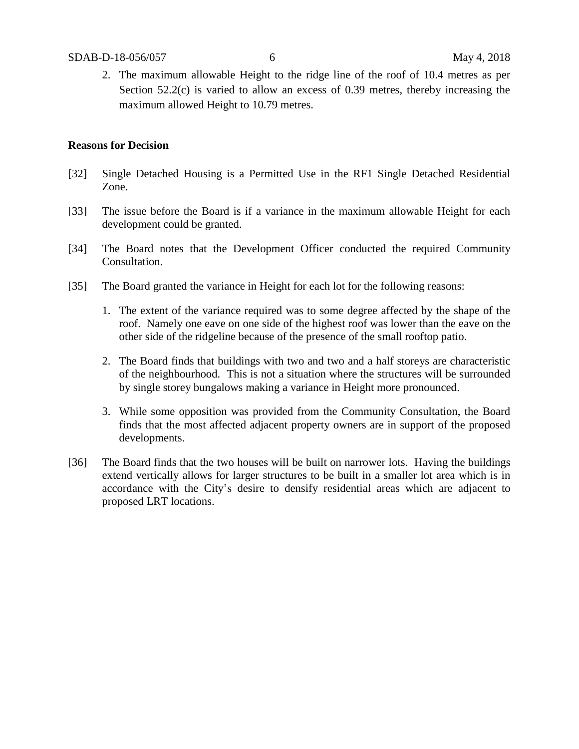2. The maximum allowable Height to the ridge line of the roof of 10.4 metres as per Section 52.2(c) is varied to allow an excess of 0.39 metres, thereby increasing the maximum allowed Height to 10.79 metres.

### **Reasons for Decision**

- [32] Single Detached Housing is a Permitted Use in the RF1 Single Detached Residential Zone.
- [33] The issue before the Board is if a variance in the maximum allowable Height for each development could be granted.
- [34] The Board notes that the Development Officer conducted the required Community Consultation.
- [35] The Board granted the variance in Height for each lot for the following reasons:
	- 1. The extent of the variance required was to some degree affected by the shape of the roof. Namely one eave on one side of the highest roof was lower than the eave on the other side of the ridgeline because of the presence of the small rooftop patio.
	- 2. The Board finds that buildings with two and two and a half storeys are characteristic of the neighbourhood. This is not a situation where the structures will be surrounded by single storey bungalows making a variance in Height more pronounced.
	- 3. While some opposition was provided from the Community Consultation, the Board finds that the most affected adjacent property owners are in support of the proposed developments.
- [36] The Board finds that the two houses will be built on narrower lots. Having the buildings extend vertically allows for larger structures to be built in a smaller lot area which is in accordance with the City's desire to densify residential areas which are adjacent to proposed LRT locations.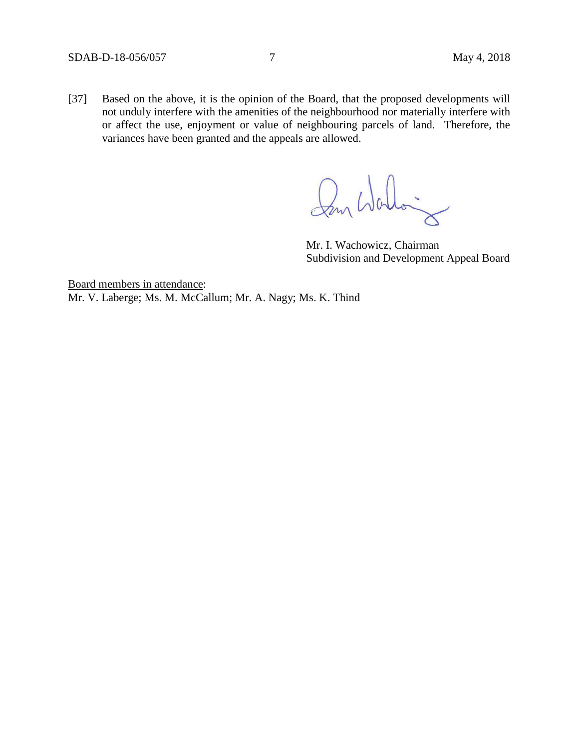[37] Based on the above, it is the opinion of the Board, that the proposed developments will not unduly interfere with the amenities of the neighbourhood nor materially interfere with or affect the use, enjoyment or value of neighbouring parcels of land. Therefore, the variances have been granted and the appeals are allowed.

Dan Warlow

Mr. I. Wachowicz, Chairman Subdivision and Development Appeal Board

Board members in attendance: Mr. V. Laberge; Ms. M. McCallum; Mr. A. Nagy; Ms. K. Thind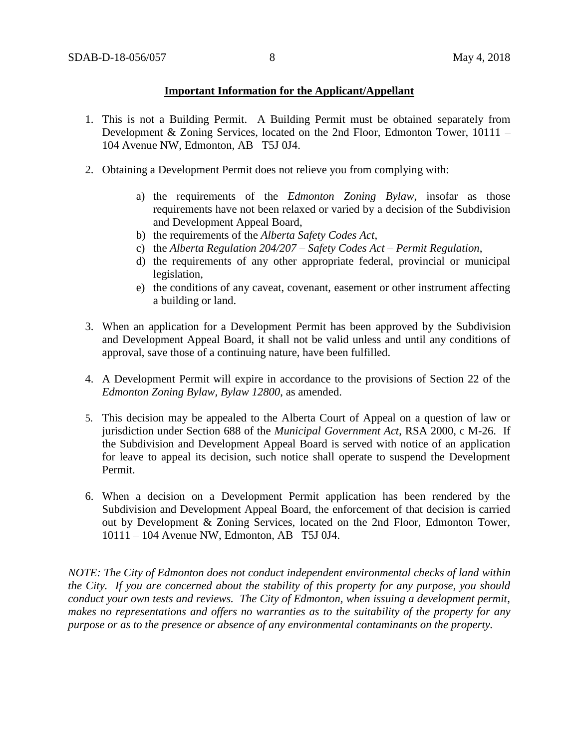## **Important Information for the Applicant/Appellant**

- 1. This is not a Building Permit. A Building Permit must be obtained separately from Development & Zoning Services, located on the 2nd Floor, Edmonton Tower, 10111 – 104 Avenue NW, Edmonton, AB T5J 0J4.
- 2. Obtaining a Development Permit does not relieve you from complying with:
	- a) the requirements of the *Edmonton Zoning Bylaw*, insofar as those requirements have not been relaxed or varied by a decision of the Subdivision and Development Appeal Board,
	- b) the requirements of the *Alberta Safety Codes Act*,
	- c) the *Alberta Regulation 204/207 – Safety Codes Act – Permit Regulation*,
	- d) the requirements of any other appropriate federal, provincial or municipal legislation,
	- e) the conditions of any caveat, covenant, easement or other instrument affecting a building or land.
- 3. When an application for a Development Permit has been approved by the Subdivision and Development Appeal Board, it shall not be valid unless and until any conditions of approval, save those of a continuing nature, have been fulfilled.
- 4. A Development Permit will expire in accordance to the provisions of Section 22 of the *Edmonton Zoning Bylaw, Bylaw 12800*, as amended.
- 5. This decision may be appealed to the Alberta Court of Appeal on a question of law or jurisdiction under Section 688 of the *Municipal Government Act*, RSA 2000, c M-26. If the Subdivision and Development Appeal Board is served with notice of an application for leave to appeal its decision, such notice shall operate to suspend the Development Permit.
- 6. When a decision on a Development Permit application has been rendered by the Subdivision and Development Appeal Board, the enforcement of that decision is carried out by Development & Zoning Services, located on the 2nd Floor, Edmonton Tower, 10111 – 104 Avenue NW, Edmonton, AB T5J 0J4.

*NOTE: The City of Edmonton does not conduct independent environmental checks of land within the City. If you are concerned about the stability of this property for any purpose, you should conduct your own tests and reviews. The City of Edmonton, when issuing a development permit, makes no representations and offers no warranties as to the suitability of the property for any purpose or as to the presence or absence of any environmental contaminants on the property.*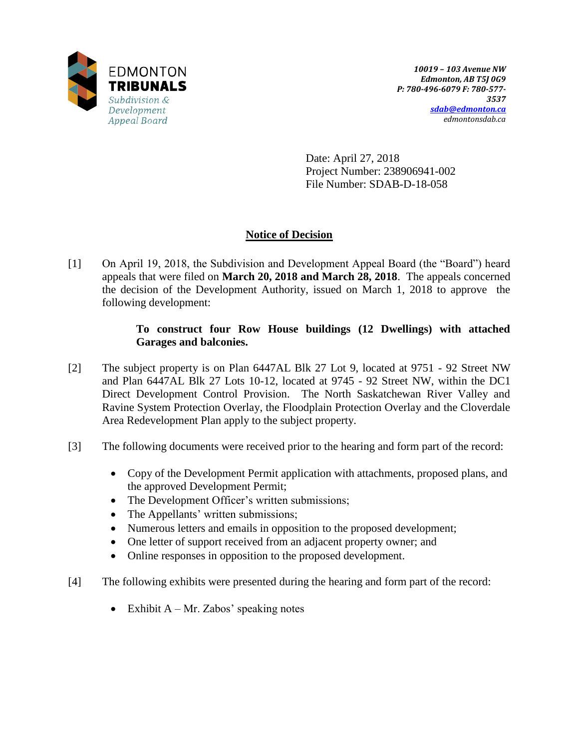

Date: April 27, 2018 Project Number: 238906941-002 File Number: SDAB-D-18-058

# **Notice of Decision**

[1] On April 19, 2018, the Subdivision and Development Appeal Board (the "Board") heard appeals that were filed on **March 20, 2018 and March 28, 2018**. The appeals concerned the decision of the Development Authority, issued on March 1, 2018 to approve the following development:

# **To construct four Row House buildings (12 Dwellings) with attached Garages and balconies.**

- [2] The subject property is on Plan 6447AL Blk 27 Lot 9, located at 9751 92 Street NW and Plan 6447AL Blk 27 Lots 10-12, located at 9745 - 92 Street NW, within the DC1 Direct Development Control Provision. The North Saskatchewan River Valley and Ravine System Protection Overlay, the Floodplain Protection Overlay and the Cloverdale Area Redevelopment Plan apply to the subject property.
- [3] The following documents were received prior to the hearing and form part of the record:
	- Copy of the Development Permit application with attachments, proposed plans, and the approved Development Permit;
	- The Development Officer's written submissions;
	- The Appellants' written submissions;
	- Numerous letters and emails in opposition to the proposed development;
	- One letter of support received from an adjacent property owner; and
	- Online responses in opposition to the proposed development.
- [4] The following exhibits were presented during the hearing and form part of the record:
	- Exhibit  $A Mr. Zabos' speaking notes$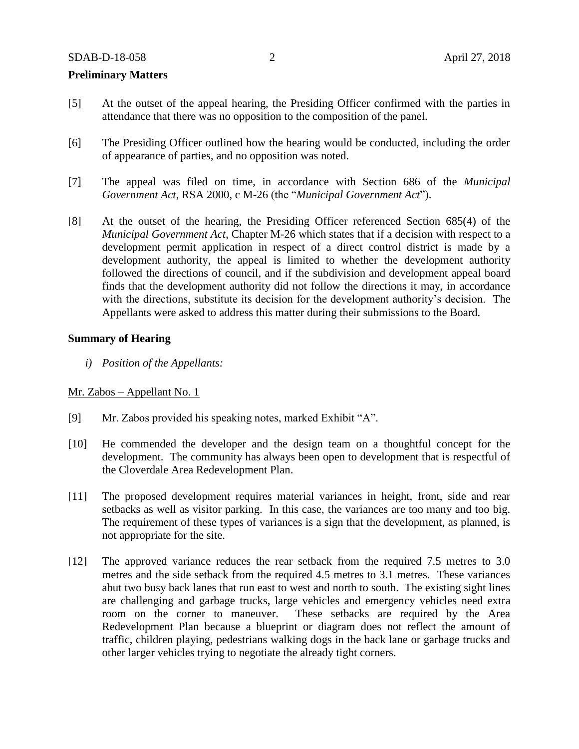#### **Preliminary Matters**

- [5] At the outset of the appeal hearing, the Presiding Officer confirmed with the parties in attendance that there was no opposition to the composition of the panel.
- [6] The Presiding Officer outlined how the hearing would be conducted, including the order of appearance of parties, and no opposition was noted.
- [7] The appeal was filed on time, in accordance with Section 686 of the *Municipal Government Act*, RSA 2000, c M-26 (the "*Municipal Government Act*").
- [8] At the outset of the hearing, the Presiding Officer referenced Section 685(4) of the *Municipal Government Act*, Chapter M-26 which states that if a decision with respect to a development permit application in respect of a direct control district is made by a development authority, the appeal is limited to whether the development authority followed the directions of council, and if the subdivision and development appeal board finds that the development authority did not follow the directions it may, in accordance with the directions, substitute its decision for the development authority's decision. The Appellants were asked to address this matter during their submissions to the Board.

#### **Summary of Hearing**

*i) Position of the Appellants:*

### Mr. Zabos – Appellant No. 1

- [9] Mr. Zabos provided his speaking notes, marked Exhibit "A".
- [10] He commended the developer and the design team on a thoughtful concept for the development. The community has always been open to development that is respectful of the Cloverdale Area Redevelopment Plan.
- [11] The proposed development requires material variances in height, front, side and rear setbacks as well as visitor parking. In this case, the variances are too many and too big. The requirement of these types of variances is a sign that the development, as planned, is not appropriate for the site.
- [12] The approved variance reduces the rear setback from the required 7.5 metres to 3.0 metres and the side setback from the required 4.5 metres to 3.1 metres. These variances abut two busy back lanes that run east to west and north to south. The existing sight lines are challenging and garbage trucks, large vehicles and emergency vehicles need extra room on the corner to maneuver. These setbacks are required by the Area Redevelopment Plan because a blueprint or diagram does not reflect the amount of traffic, children playing, pedestrians walking dogs in the back lane or garbage trucks and other larger vehicles trying to negotiate the already tight corners.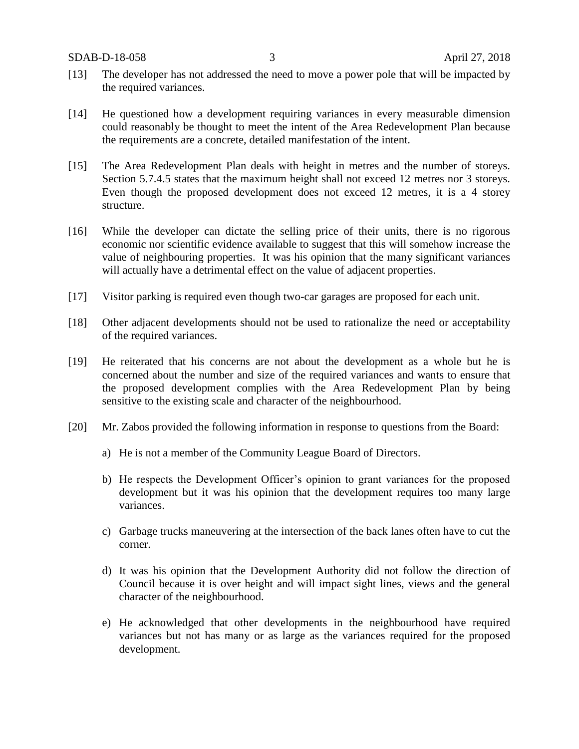- [13] The developer has not addressed the need to move a power pole that will be impacted by the required variances.
- [14] He questioned how a development requiring variances in every measurable dimension could reasonably be thought to meet the intent of the Area Redevelopment Plan because the requirements are a concrete, detailed manifestation of the intent.
- [15] The Area Redevelopment Plan deals with height in metres and the number of storeys. Section 5.7.4.5 states that the maximum height shall not exceed 12 metres nor 3 storeys. Even though the proposed development does not exceed 12 metres, it is a 4 storey structure.
- [16] While the developer can dictate the selling price of their units, there is no rigorous economic nor scientific evidence available to suggest that this will somehow increase the value of neighbouring properties. It was his opinion that the many significant variances will actually have a detrimental effect on the value of adjacent properties.
- [17] Visitor parking is required even though two-car garages are proposed for each unit.
- [18] Other adjacent developments should not be used to rationalize the need or acceptability of the required variances.
- [19] He reiterated that his concerns are not about the development as a whole but he is concerned about the number and size of the required variances and wants to ensure that the proposed development complies with the Area Redevelopment Plan by being sensitive to the existing scale and character of the neighbourhood.
- [20] Mr. Zabos provided the following information in response to questions from the Board:
	- a) He is not a member of the Community League Board of Directors.
	- b) He respects the Development Officer's opinion to grant variances for the proposed development but it was his opinion that the development requires too many large variances.
	- c) Garbage trucks maneuvering at the intersection of the back lanes often have to cut the corner.
	- d) It was his opinion that the Development Authority did not follow the direction of Council because it is over height and will impact sight lines, views and the general character of the neighbourhood.
	- e) He acknowledged that other developments in the neighbourhood have required variances but not has many or as large as the variances required for the proposed development.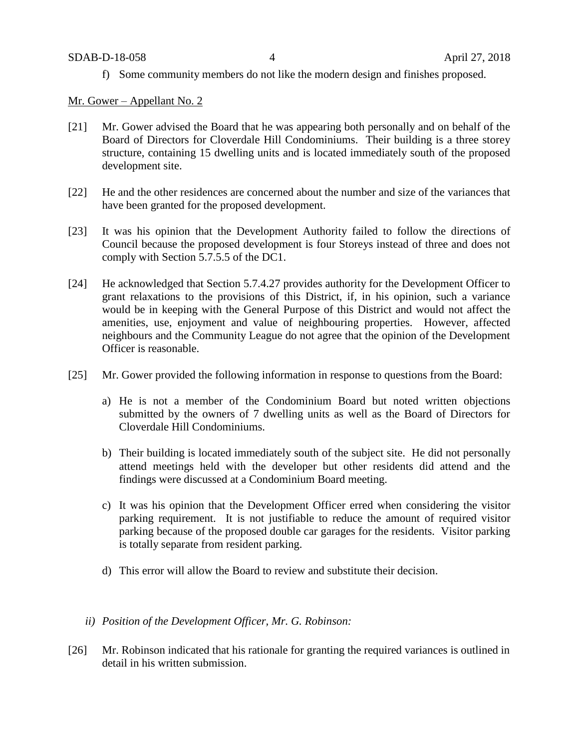f) Some community members do not like the modern design and finishes proposed.

Mr. Gower – Appellant No. 2

- [21] Mr. Gower advised the Board that he was appearing both personally and on behalf of the Board of Directors for Cloverdale Hill Condominiums. Their building is a three storey structure, containing 15 dwelling units and is located immediately south of the proposed development site.
- [22] He and the other residences are concerned about the number and size of the variances that have been granted for the proposed development.
- [23] It was his opinion that the Development Authority failed to follow the directions of Council because the proposed development is four Storeys instead of three and does not comply with Section 5.7.5.5 of the DC1.
- [24] He acknowledged that Section 5.7.4.27 provides authority for the Development Officer to grant relaxations to the provisions of this District, if, in his opinion, such a variance would be in keeping with the General Purpose of this District and would not affect the amenities, use, enjoyment and value of neighbouring properties. However, affected neighbours and the Community League do not agree that the opinion of the Development Officer is reasonable.
- [25] Mr. Gower provided the following information in response to questions from the Board:
	- a) He is not a member of the Condominium Board but noted written objections submitted by the owners of 7 dwelling units as well as the Board of Directors for Cloverdale Hill Condominiums.
	- b) Their building is located immediately south of the subject site. He did not personally attend meetings held with the developer but other residents did attend and the findings were discussed at a Condominium Board meeting.
	- c) It was his opinion that the Development Officer erred when considering the visitor parking requirement. It is not justifiable to reduce the amount of required visitor parking because of the proposed double car garages for the residents. Visitor parking is totally separate from resident parking.
	- d) This error will allow the Board to review and substitute their decision.
	- *ii) Position of the Development Officer, Mr. G. Robinson:*
- [26] Mr. Robinson indicated that his rationale for granting the required variances is outlined in detail in his written submission.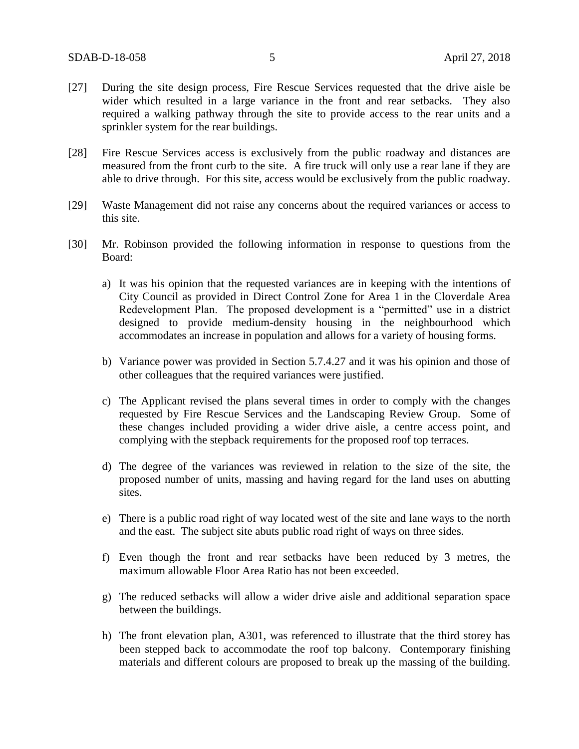- [27] During the site design process, Fire Rescue Services requested that the drive aisle be wider which resulted in a large variance in the front and rear setbacks. They also required a walking pathway through the site to provide access to the rear units and a sprinkler system for the rear buildings.
- [28] Fire Rescue Services access is exclusively from the public roadway and distances are measured from the front curb to the site. A fire truck will only use a rear lane if they are able to drive through. For this site, access would be exclusively from the public roadway.
- [29] Waste Management did not raise any concerns about the required variances or access to this site.
- [30] Mr. Robinson provided the following information in response to questions from the Board:
	- a) It was his opinion that the requested variances are in keeping with the intentions of City Council as provided in Direct Control Zone for Area 1 in the Cloverdale Area Redevelopment Plan. The proposed development is a "permitted" use in a district designed to provide medium-density housing in the neighbourhood which accommodates an increase in population and allows for a variety of housing forms.
	- b) Variance power was provided in Section 5.7.4.27 and it was his opinion and those of other colleagues that the required variances were justified.
	- c) The Applicant revised the plans several times in order to comply with the changes requested by Fire Rescue Services and the Landscaping Review Group. Some of these changes included providing a wider drive aisle, a centre access point, and complying with the stepback requirements for the proposed roof top terraces.
	- d) The degree of the variances was reviewed in relation to the size of the site, the proposed number of units, massing and having regard for the land uses on abutting sites.
	- e) There is a public road right of way located west of the site and lane ways to the north and the east. The subject site abuts public road right of ways on three sides.
	- f) Even though the front and rear setbacks have been reduced by 3 metres, the maximum allowable Floor Area Ratio has not been exceeded.
	- g) The reduced setbacks will allow a wider drive aisle and additional separation space between the buildings.
	- h) The front elevation plan, A301, was referenced to illustrate that the third storey has been stepped back to accommodate the roof top balcony. Contemporary finishing materials and different colours are proposed to break up the massing of the building.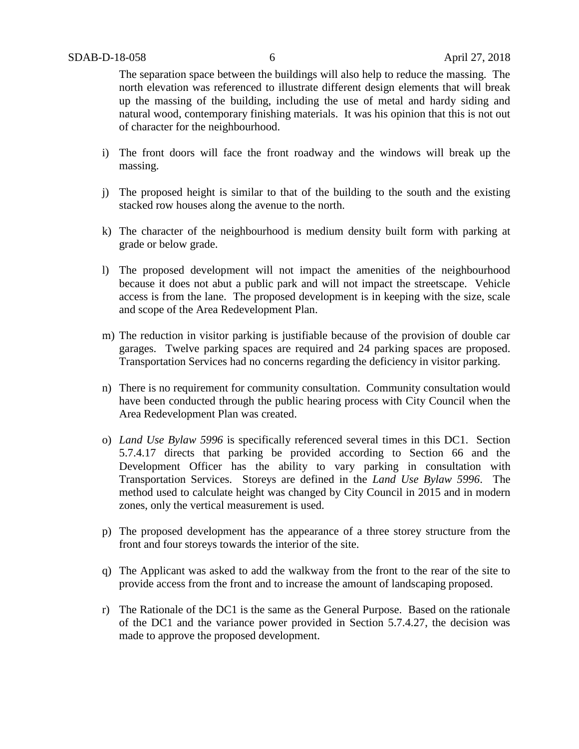The separation space between the buildings will also help to reduce the massing. The north elevation was referenced to illustrate different design elements that will break up the massing of the building, including the use of metal and hardy siding and natural wood, contemporary finishing materials. It was his opinion that this is not out of character for the neighbourhood.

- i) The front doors will face the front roadway and the windows will break up the massing.
- j) The proposed height is similar to that of the building to the south and the existing stacked row houses along the avenue to the north.
- k) The character of the neighbourhood is medium density built form with parking at grade or below grade.
- l) The proposed development will not impact the amenities of the neighbourhood because it does not abut a public park and will not impact the streetscape. Vehicle access is from the lane. The proposed development is in keeping with the size, scale and scope of the Area Redevelopment Plan.
- m) The reduction in visitor parking is justifiable because of the provision of double car garages. Twelve parking spaces are required and 24 parking spaces are proposed. Transportation Services had no concerns regarding the deficiency in visitor parking.
- n) There is no requirement for community consultation. Community consultation would have been conducted through the public hearing process with City Council when the Area Redevelopment Plan was created.
- o) *Land Use Bylaw 5996* is specifically referenced several times in this DC1. Section 5.7.4.17 directs that parking be provided according to Section 66 and the Development Officer has the ability to vary parking in consultation with Transportation Services. Storeys are defined in the *Land Use Bylaw 5996*. The method used to calculate height was changed by City Council in 2015 and in modern zones, only the vertical measurement is used.
- p) The proposed development has the appearance of a three storey structure from the front and four storeys towards the interior of the site.
- q) The Applicant was asked to add the walkway from the front to the rear of the site to provide access from the front and to increase the amount of landscaping proposed.
- r) The Rationale of the DC1 is the same as the General Purpose. Based on the rationale of the DC1 and the variance power provided in Section 5.7.4.27, the decision was made to approve the proposed development.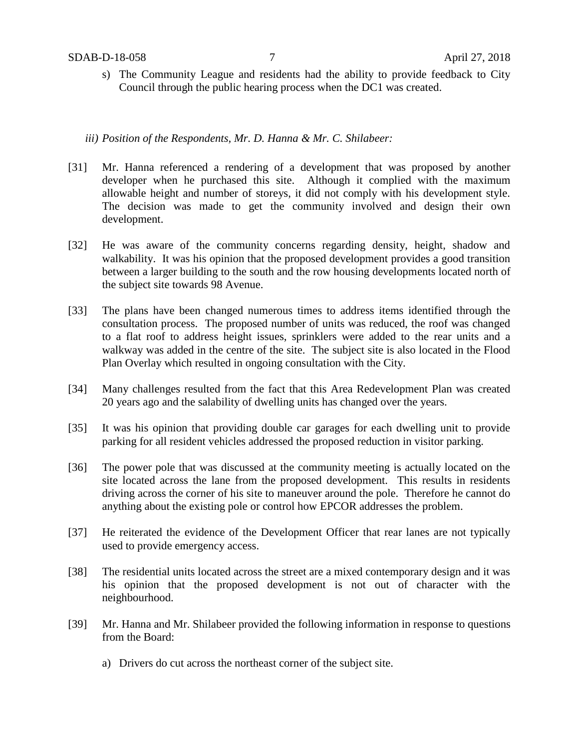s) The Community League and residents had the ability to provide feedback to City Council through the public hearing process when the DC1 was created.

## *iii) Position of the Respondents, Mr. D. Hanna & Mr. C. Shilabeer:*

- [31] Mr. Hanna referenced a rendering of a development that was proposed by another developer when he purchased this site. Although it complied with the maximum allowable height and number of storeys, it did not comply with his development style. The decision was made to get the community involved and design their own development.
- [32] He was aware of the community concerns regarding density, height, shadow and walkability. It was his opinion that the proposed development provides a good transition between a larger building to the south and the row housing developments located north of the subject site towards 98 Avenue.
- [33] The plans have been changed numerous times to address items identified through the consultation process. The proposed number of units was reduced, the roof was changed to a flat roof to address height issues, sprinklers were added to the rear units and a walkway was added in the centre of the site. The subject site is also located in the Flood Plan Overlay which resulted in ongoing consultation with the City.
- [34] Many challenges resulted from the fact that this Area Redevelopment Plan was created 20 years ago and the salability of dwelling units has changed over the years.
- [35] It was his opinion that providing double car garages for each dwelling unit to provide parking for all resident vehicles addressed the proposed reduction in visitor parking.
- [36] The power pole that was discussed at the community meeting is actually located on the site located across the lane from the proposed development. This results in residents driving across the corner of his site to maneuver around the pole. Therefore he cannot do anything about the existing pole or control how EPCOR addresses the problem.
- [37] He reiterated the evidence of the Development Officer that rear lanes are not typically used to provide emergency access.
- [38] The residential units located across the street are a mixed contemporary design and it was his opinion that the proposed development is not out of character with the neighbourhood.
- [39] Mr. Hanna and Mr. Shilabeer provided the following information in response to questions from the Board:
	- a) Drivers do cut across the northeast corner of the subject site.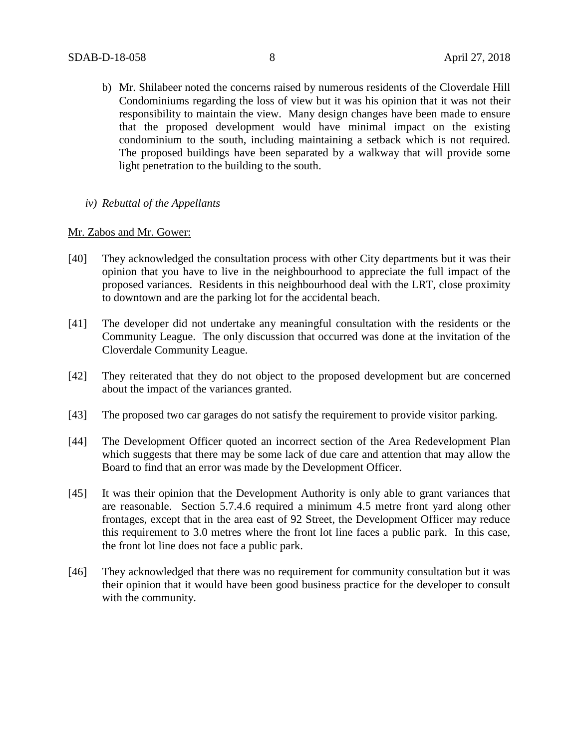- b) Mr. Shilabeer noted the concerns raised by numerous residents of the Cloverdale Hill Condominiums regarding the loss of view but it was his opinion that it was not their responsibility to maintain the view. Many design changes have been made to ensure that the proposed development would have minimal impact on the existing condominium to the south, including maintaining a setback which is not required. The proposed buildings have been separated by a walkway that will provide some light penetration to the building to the south.
- *iv) Rebuttal of the Appellants*

#### Mr. Zabos and Mr. Gower:

- [40] They acknowledged the consultation process with other City departments but it was their opinion that you have to live in the neighbourhood to appreciate the full impact of the proposed variances. Residents in this neighbourhood deal with the LRT, close proximity to downtown and are the parking lot for the accidental beach.
- [41] The developer did not undertake any meaningful consultation with the residents or the Community League. The only discussion that occurred was done at the invitation of the Cloverdale Community League.
- [42] They reiterated that they do not object to the proposed development but are concerned about the impact of the variances granted.
- [43] The proposed two car garages do not satisfy the requirement to provide visitor parking.
- [44] The Development Officer quoted an incorrect section of the Area Redevelopment Plan which suggests that there may be some lack of due care and attention that may allow the Board to find that an error was made by the Development Officer.
- [45] It was their opinion that the Development Authority is only able to grant variances that are reasonable. Section 5.7.4.6 required a minimum 4.5 metre front yard along other frontages, except that in the area east of 92 Street, the Development Officer may reduce this requirement to 3.0 metres where the front lot line faces a public park. In this case, the front lot line does not face a public park.
- [46] They acknowledged that there was no requirement for community consultation but it was their opinion that it would have been good business practice for the developer to consult with the community.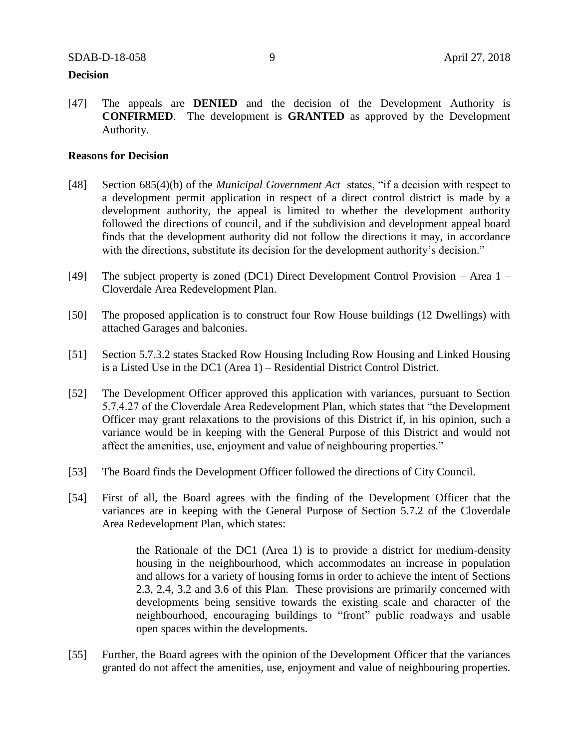### **Decision**

[47] The appeals are **DENIED** and the decision of the Development Authority is **CONFIRMED**. The development is **GRANTED** as approved by the Development Authority.

## **Reasons for Decision**

- [48] Section 685(4)(b) of the *Municipal Government Act* states, "if a decision with respect to a development permit application in respect of a direct control district is made by a development authority, the appeal is limited to whether the development authority followed the directions of council, and if the subdivision and development appeal board finds that the development authority did not follow the directions it may, in accordance with the directions, substitute its decision for the development authority's decision."
- [49] The subject property is zoned (DC1) Direct Development Control Provision Area 1 Cloverdale Area Redevelopment Plan.
- [50] The proposed application is to construct four Row House buildings (12 Dwellings) with attached Garages and balconies.
- [51] Section 5.7.3.2 states Stacked Row Housing Including Row Housing and Linked Housing is a Listed Use in the DC1 (Area 1) – Residential District Control District.
- [52] The Development Officer approved this application with variances, pursuant to Section 5.7.4.27 of the Cloverdale Area Redevelopment Plan, which states that "the Development Officer may grant relaxations to the provisions of this District if, in his opinion, such a variance would be in keeping with the General Purpose of this District and would not affect the amenities, use, enjoyment and value of neighbouring properties."
- [53] The Board finds the Development Officer followed the directions of City Council.
- [54] First of all, the Board agrees with the finding of the Development Officer that the variances are in keeping with the General Purpose of Section 5.7.2 of the Cloverdale Area Redevelopment Plan, which states:

the Rationale of the DC1 (Area 1) is to provide a district for medium-density housing in the neighbourhood, which accommodates an increase in population and allows for a variety of housing forms in order to achieve the intent of Sections 2.3, 2.4, 3.2 and 3.6 of this Plan. These provisions are primarily concerned with developments being sensitive towards the existing scale and character of the neighbourhood, encouraging buildings to "front" public roadways and usable open spaces within the developments.

[55] Further, the Board agrees with the opinion of the Development Officer that the variances granted do not affect the amenities, use, enjoyment and value of neighbouring properties.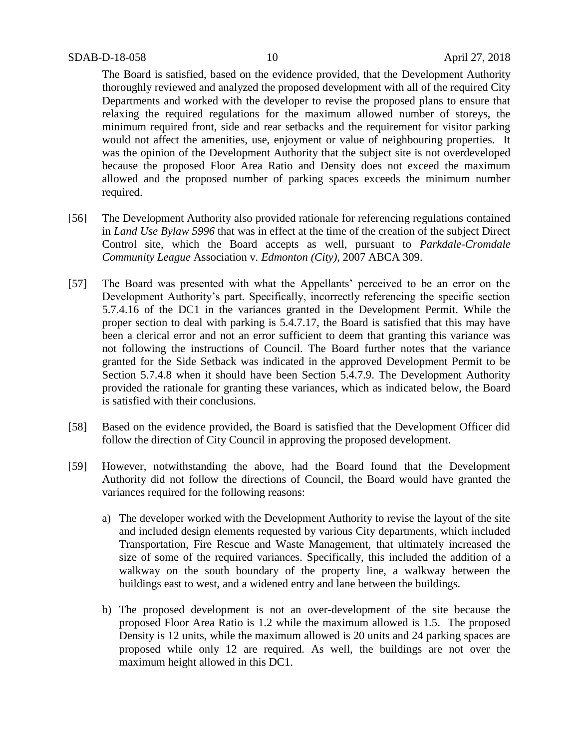The Board is satisfied, based on the evidence provided, that the Development Authority thoroughly reviewed and analyzed the proposed development with all of the required City Departments and worked with the developer to revise the proposed plans to ensure that relaxing the required regulations for the maximum allowed number of storeys, the minimum required front, side and rear setbacks and the requirement for visitor parking would not affect the amenities, use, enjoyment or value of neighbouring properties. It was the opinion of the Development Authority that the subject site is not overdeveloped because the proposed Floor Area Ratio and Density does not exceed the maximum allowed and the proposed number of parking spaces exceeds the minimum number required.

- [56] The Development Authority also provided rationale for referencing regulations contained in *Land Use Bylaw 5996* that was in effect at the time of the creation of the subject Direct Control site, which the Board accepts as well, pursuant to *Parkdale-Cromdale Community League* Association v*. Edmonton (City),* 2007 ABCA 309.
- [57] The Board was presented with what the Appellants' perceived to be an error on the Development Authority's part. Specifically, incorrectly referencing the specific section 5.7.4.16 of the DC1 in the variances granted in the Development Permit. While the proper section to deal with parking is 5.4.7.17, the Board is satisfied that this may have been a clerical error and not an error sufficient to deem that granting this variance was not following the instructions of Council. The Board further notes that the variance granted for the Side Setback was indicated in the approved Development Permit to be Section 5.7.4.8 when it should have been Section 5.4.7.9. The Development Authority provided the rationale for granting these variances, which as indicated below, the Board is satisfied with their conclusions.
- [58] Based on the evidence provided, the Board is satisfied that the Development Officer did follow the direction of City Council in approving the proposed development.
- [59] However, notwithstanding the above, had the Board found that the Development Authority did not follow the directions of Council, the Board would have granted the variances required for the following reasons:
	- a) The developer worked with the Development Authority to revise the layout of the site and included design elements requested by various City departments, which included Transportation, Fire Rescue and Waste Management, that ultimately increased the size of some of the required variances. Specifically, this included the addition of a walkway on the south boundary of the property line, a walkway between the buildings east to west, and a widened entry and lane between the buildings.
	- b) The proposed development is not an over-development of the site because the proposed Floor Area Ratio is 1.2 while the maximum allowed is 1.5. The proposed Density is 12 units, while the maximum allowed is 20 units and 24 parking spaces are proposed while only 12 are required. As well, the buildings are not over the maximum height allowed in this DC1.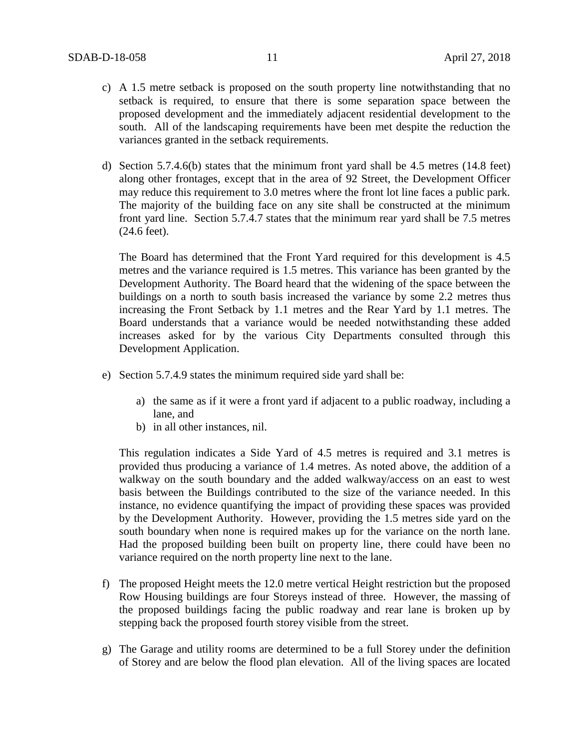- c) A 1.5 metre setback is proposed on the south property line notwithstanding that no setback is required, to ensure that there is some separation space between the proposed development and the immediately adjacent residential development to the south. All of the landscaping requirements have been met despite the reduction the variances granted in the setback requirements.
- d) Section 5.7.4.6(b) states that the minimum front yard shall be 4.5 metres (14.8 feet) along other frontages, except that in the area of 92 Street, the Development Officer may reduce this requirement to 3.0 metres where the front lot line faces a public park. The majority of the building face on any site shall be constructed at the minimum front yard line. Section 5.7.4.7 states that the minimum rear yard shall be 7.5 metres (24.6 feet).

The Board has determined that the Front Yard required for this development is 4.5 metres and the variance required is 1.5 metres. This variance has been granted by the Development Authority. The Board heard that the widening of the space between the buildings on a north to south basis increased the variance by some 2.2 metres thus increasing the Front Setback by 1.1 metres and the Rear Yard by 1.1 metres. The Board understands that a variance would be needed notwithstanding these added increases asked for by the various City Departments consulted through this Development Application.

- e) Section 5.7.4.9 states the minimum required side yard shall be:
	- a) the same as if it were a front yard if adjacent to a public roadway, including a lane, and
	- b) in all other instances, nil.

This regulation indicates a Side Yard of 4.5 metres is required and 3.1 metres is provided thus producing a variance of 1.4 metres. As noted above, the addition of a walkway on the south boundary and the added walkway/access on an east to west basis between the Buildings contributed to the size of the variance needed. In this instance, no evidence quantifying the impact of providing these spaces was provided by the Development Authority. However, providing the 1.5 metres side yard on the south boundary when none is required makes up for the variance on the north lane. Had the proposed building been built on property line, there could have been no variance required on the north property line next to the lane.

- f) The proposed Height meets the 12.0 metre vertical Height restriction but the proposed Row Housing buildings are four Storeys instead of three. However, the massing of the proposed buildings facing the public roadway and rear lane is broken up by stepping back the proposed fourth storey visible from the street.
- g) The Garage and utility rooms are determined to be a full Storey under the definition of Storey and are below the flood plan elevation. All of the living spaces are located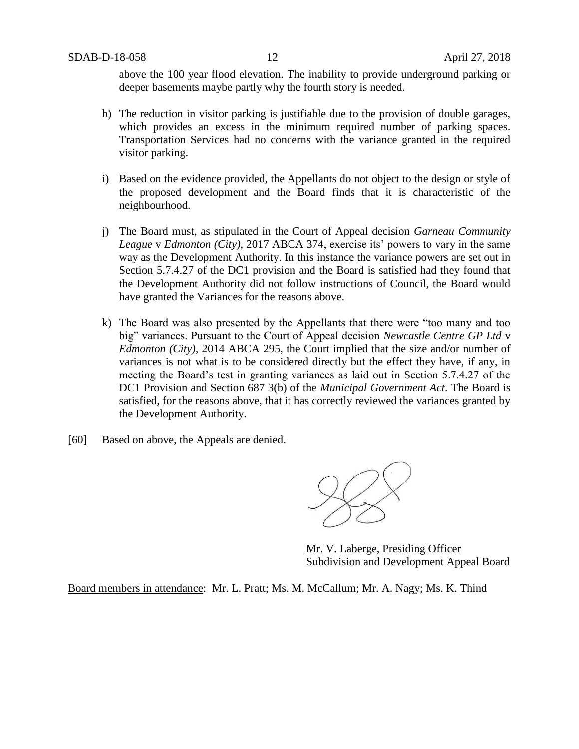above the 100 year flood elevation. The inability to provide underground parking or deeper basements maybe partly why the fourth story is needed.

- h) The reduction in visitor parking is justifiable due to the provision of double garages, which provides an excess in the minimum required number of parking spaces. Transportation Services had no concerns with the variance granted in the required visitor parking.
- i) Based on the evidence provided, the Appellants do not object to the design or style of the proposed development and the Board finds that it is characteristic of the neighbourhood.
- j) The Board must, as stipulated in the Court of Appeal decision *Garneau Community League* v *Edmonton (City)*, 2017 ABCA 374, exercise its' powers to vary in the same way as the Development Authority. In this instance the variance powers are set out in Section 5.7.4.27 of the DC1 provision and the Board is satisfied had they found that the Development Authority did not follow instructions of Council, the Board would have granted the Variances for the reasons above.
- k) The Board was also presented by the Appellants that there were "too many and too big" variances. Pursuant to the Court of Appeal decision *Newcastle Centre GP Ltd* v *Edmonton (City),* 2014 ABCA 295, the Court implied that the size and/or number of variances is not what is to be considered directly but the effect they have, if any, in meeting the Board's test in granting variances as laid out in Section 5.7.4.27 of the DC1 Provision and Section 687 3(b) of the *Municipal Government Act*. The Board is satisfied, for the reasons above, that it has correctly reviewed the variances granted by the Development Authority.
- [60] Based on above, the Appeals are denied.

Mr. V. Laberge, Presiding Officer Subdivision and Development Appeal Board

Board members in attendance: Mr. L. Pratt; Ms. M. McCallum; Mr. A. Nagy; Ms. K. Thind